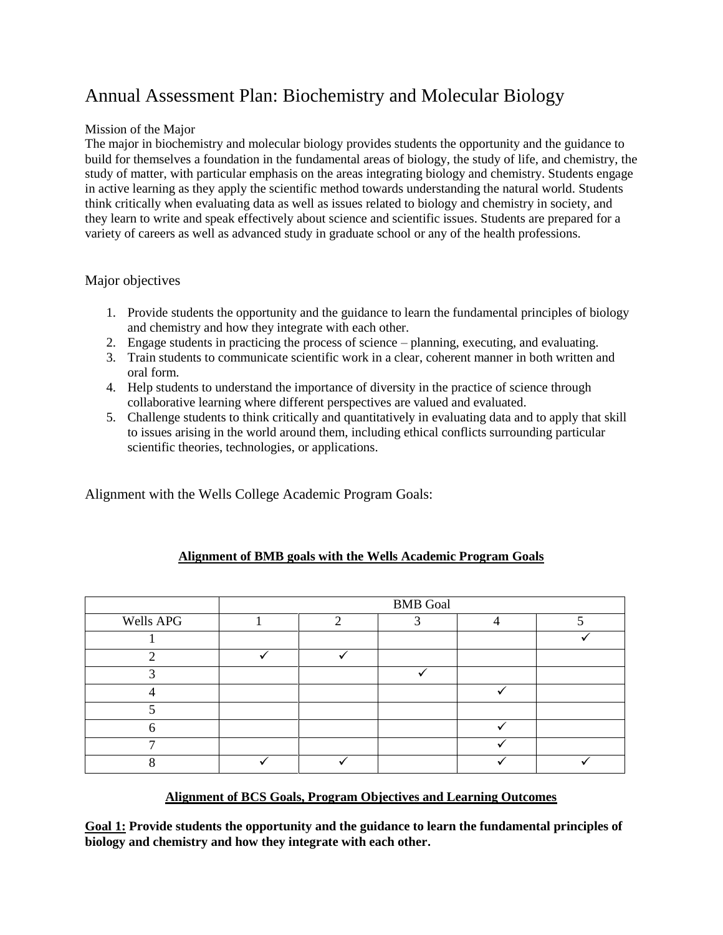# Annual Assessment Plan: Biochemistry and Molecular Biology

## Mission of the Major

The major in biochemistry and molecular biology provides students the opportunity and the guidance to build for themselves a foundation in the fundamental areas of biology, the study of life, and chemistry, the study of matter, with particular emphasis on the areas integrating biology and chemistry. Students engage in active learning as they apply the scientific method towards understanding the natural world. Students think critically when evaluating data as well as issues related to biology and chemistry in society, and they learn to write and speak effectively about science and scientific issues. Students are prepared for a variety of careers as well as advanced study in graduate school or any of the health professions.

#### Major objectives

- 1. Provide students the opportunity and the guidance to learn the fundamental principles of biology and chemistry and how they integrate with each other.
- 2. Engage students in practicing the process of science planning, executing, and evaluating.
- 3. Train students to communicate scientific work in a clear, coherent manner in both written and oral form.
- 4. Help students to understand the importance of diversity in the practice of science through collaborative learning where different perspectives are valued and evaluated.
- 5. Challenge students to think critically and quantitatively in evaluating data and to apply that skill to issues arising in the world around them, including ethical conflicts surrounding particular scientific theories, technologies, or applications.

Alignment with the Wells College Academic Program Goals:

|           | <b>BMB</b> Goal |   |  |  |  |
|-----------|-----------------|---|--|--|--|
| Wells APG |                 | ◠ |  |  |  |
|           |                 |   |  |  |  |
|           |                 |   |  |  |  |
|           |                 |   |  |  |  |
|           |                 |   |  |  |  |
|           |                 |   |  |  |  |
|           |                 |   |  |  |  |
|           |                 |   |  |  |  |
|           |                 |   |  |  |  |

# **Alignment of BMB goals with the Wells Academic Program Goals**

#### **Alignment of BCS Goals, Program Objectives and Learning Outcomes**

**Goal 1: Provide students the opportunity and the guidance to learn the fundamental principles of biology and chemistry and how they integrate with each other.**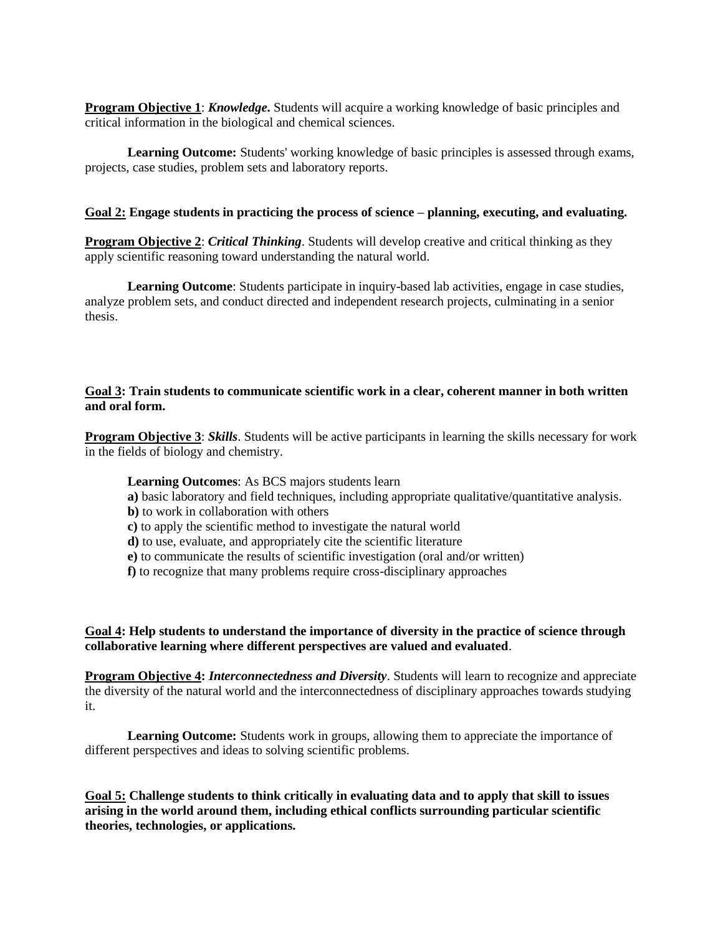**Program Objective 1**: *Knowledge***.** Students will acquire a working knowledge of basic principles and critical information in the biological and chemical sciences.

**Learning Outcome:** Students' working knowledge of basic principles is assessed through exams, projects, case studies, problem sets and laboratory reports.

#### **Goal 2: Engage students in practicing the process of science – planning, executing, and evaluating.**

**Program Objective 2**: *Critical Thinking*. Students will develop creative and critical thinking as they apply scientific reasoning toward understanding the natural world.

**Learning Outcome**: Students participate in inquiry-based lab activities, engage in case studies, analyze problem sets, and conduct directed and independent research projects, culminating in a senior thesis.

#### **Goal 3: Train students to communicate scientific work in a clear, coherent manner in both written and oral form.**

**Program Objective 3**: *Skills*. Students will be active participants in learning the skills necessary for work in the fields of biology and chemistry.

#### **Learning Outcomes**: As BCS majors students learn

- **a)** basic laboratory and field techniques, including appropriate qualitative/quantitative analysis.
- **b)** to work in collaboration with others
- **c)** to apply the scientific method to investigate the natural world
- **d)** to use, evaluate, and appropriately cite the scientific literature
- **e)** to communicate the results of scientific investigation (oral and/or written)
- **f)** to recognize that many problems require cross-disciplinary approaches

#### **Goal 4: Help students to understand the importance of diversity in the practice of science through collaborative learning where different perspectives are valued and evaluated**.

**Program Objective 4:** *Interconnectedness and Diversity*. Students will learn to recognize and appreciate the diversity of the natural world and the interconnectedness of disciplinary approaches towards studying it.

**Learning Outcome:** Students work in groups, allowing them to appreciate the importance of different perspectives and ideas to solving scientific problems.

**Goal 5: Challenge students to think critically in evaluating data and to apply that skill to issues arising in the world around them, including ethical conflicts surrounding particular scientific theories, technologies, or applications.**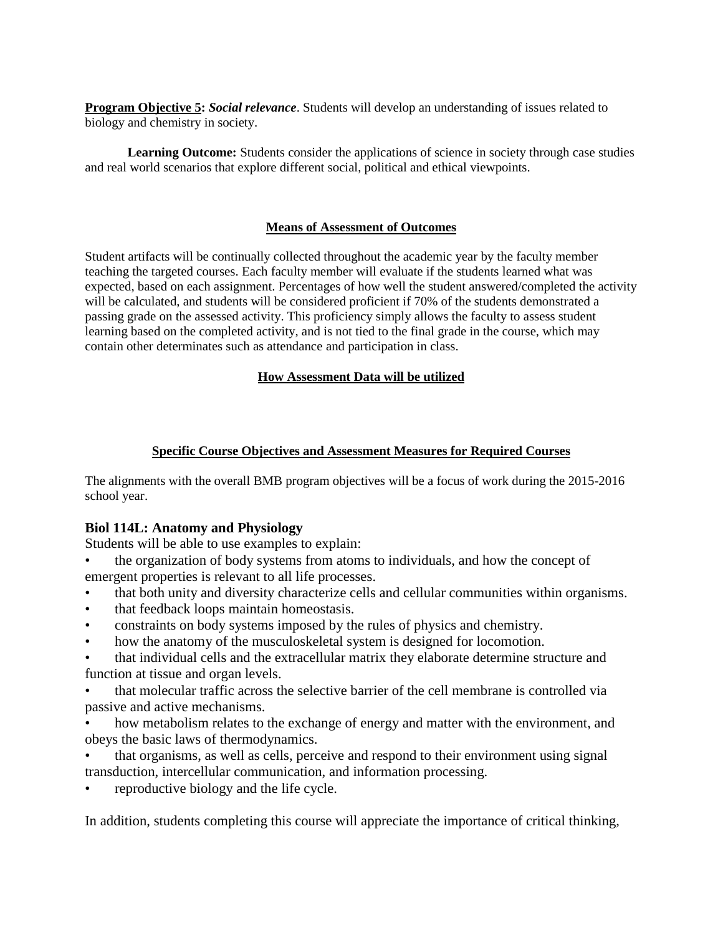**Program Objective 5:** *Social relevance*. Students will develop an understanding of issues related to biology and chemistry in society.

**Learning Outcome:** Students consider the applications of science in society through case studies and real world scenarios that explore different social, political and ethical viewpoints.

#### **Means of Assessment of Outcomes**

Student artifacts will be continually collected throughout the academic year by the faculty member teaching the targeted courses. Each faculty member will evaluate if the students learned what was expected, based on each assignment. Percentages of how well the student answered/completed the activity will be calculated, and students will be considered proficient if 70% of the students demonstrated a passing grade on the assessed activity. This proficiency simply allows the faculty to assess student learning based on the completed activity, and is not tied to the final grade in the course, which may contain other determinates such as attendance and participation in class.

#### **How Assessment Data will be utilized**

#### **Specific Course Objectives and Assessment Measures for Required Courses**

The alignments with the overall BMB program objectives will be a focus of work during the 2015-2016 school year.

#### **Biol 114L: Anatomy and Physiology**

Students will be able to use examples to explain:

- the organization of body systems from atoms to individuals, and how the concept of emergent properties is relevant to all life processes.
- that both unity and diversity characterize cells and cellular communities within organisms.
- that feedback loops maintain homeostasis.
- constraints on body systems imposed by the rules of physics and chemistry.
- how the anatomy of the musculoskeletal system is designed for locomotion.
- that individual cells and the extracellular matrix they elaborate determine structure and function at tissue and organ levels.
- that molecular traffic across the selective barrier of the cell membrane is controlled via passive and active mechanisms.
- how metabolism relates to the exchange of energy and matter with the environment, and obeys the basic laws of thermodynamics.
- that organisms, as well as cells, perceive and respond to their environment using signal transduction, intercellular communication, and information processing.
- reproductive biology and the life cycle.

In addition, students completing this course will appreciate the importance of critical thinking,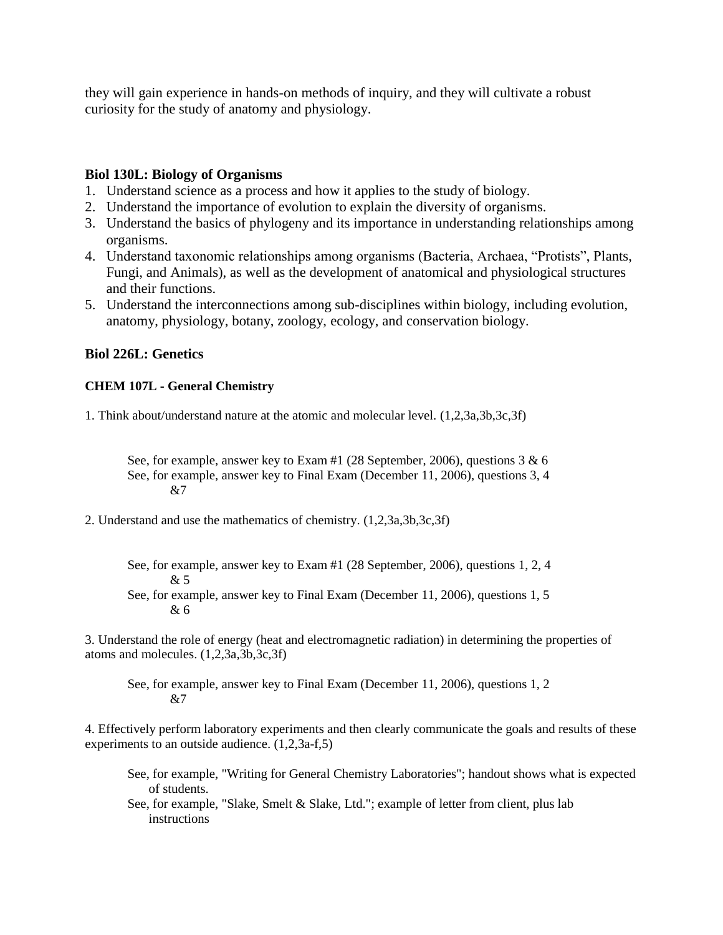they will gain experience in hands-on methods of inquiry, and they will cultivate a robust curiosity for the study of anatomy and physiology.

## **Biol 130L: Biology of Organisms**

- 1. Understand science as a process and how it applies to the study of biology.
- 2. Understand the importance of evolution to explain the diversity of organisms.
- 3. Understand the basics of phylogeny and its importance in understanding relationships among organisms.
- 4. Understand taxonomic relationships among organisms (Bacteria, Archaea, "Protists", Plants, Fungi, and Animals), as well as the development of anatomical and physiological structures and their functions.
- 5. Understand the interconnections among sub-disciplines within biology, including evolution, anatomy, physiology, botany, zoology, ecology, and conservation biology.

# **Biol 226L: Genetics**

#### **CHEM 107L - General Chemistry**

1. Think about/understand nature at the atomic and molecular level. (1,2,3a,3b,3c,3f)

See, for example, answer key to Exam #1 (28 September, 2006), questions 3 & 6 See, for example, answer key to Final Exam (December 11, 2006), questions 3, 4  $&7$ 

- 2. Understand and use the mathematics of chemistry. (1,2,3a,3b,3c,3f)
	- See, for example, answer key to Exam #1 (28 September, 2006), questions 1, 2, 4 & 5
	- See, for example, answer key to Final Exam (December 11, 2006), questions 1, 5 & 6

3. Understand the role of energy (heat and electromagnetic radiation) in determining the properties of atoms and molecules. (1,2,3a,3b,3c,3f)

See, for example, answer key to Final Exam (December 11, 2006), questions 1, 2 &7

4. Effectively perform laboratory experiments and then clearly communicate the goals and results of these experiments to an outside audience. (1,2,3a-f,5)

See, for example, "Writing for General Chemistry Laboratories"; handout shows what is expected of students.

See, for example, "Slake, Smelt & Slake, Ltd."; example of letter from client, plus lab instructions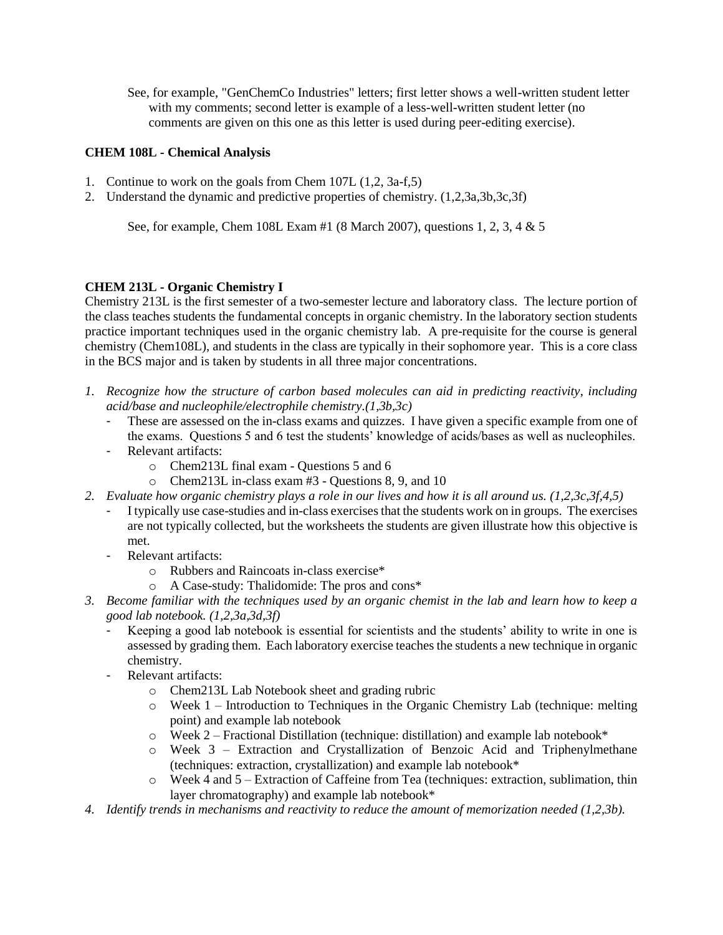See, for example, "GenChemCo Industries" letters; first letter shows a well-written student letter with my comments; second letter is example of a less-well-written student letter (no comments are given on this one as this letter is used during peer-editing exercise).

## **CHEM 108L - Chemical Analysis**

- 1. Continue to work on the goals from Chem 107L (1,2, 3a-f,5)
- 2. Understand the dynamic and predictive properties of chemistry. (1,2,3a,3b,3c,3f)

See, for example, Chem 108L Exam #1 (8 March 2007), questions 1, 2, 3, 4 & 5

#### **CHEM 213L - Organic Chemistry I**

Chemistry 213L is the first semester of a two-semester lecture and laboratory class. The lecture portion of the class teaches students the fundamental concepts in organic chemistry. In the laboratory section students practice important techniques used in the organic chemistry lab. A pre-requisite for the course is general chemistry (Chem108L), and students in the class are typically in their sophomore year. This is a core class in the BCS major and is taken by students in all three major concentrations.

- *1. Recognize how the structure of carbon based molecules can aid in predicting reactivity, including acid/base and nucleophile/electrophile chemistry.(1,3b,3c)*
	- These are assessed on the in-class exams and quizzes. I have given a specific example from one of the exams. Questions 5 and 6 test the students' knowledge of acids/bases as well as nucleophiles.
	- Relevant artifacts:
		- o Chem213L final exam Questions 5 and 6
		- o Chem213L in-class exam #3 Questions 8, 9, and 10
- *2. Evaluate how organic chemistry plays a role in our lives and how it is all around us. (1,2,3c,3f,4,5)*
	- I typically use case-studies and in-class exercises that the students work on in groups. The exercises are not typically collected, but the worksheets the students are given illustrate how this objective is met.
	- Relevant artifacts:
		- o Rubbers and Raincoats in-class exercise\*
		- o A Case-study: Thalidomide: The pros and cons\*
- *3. Become familiar with the techniques used by an organic chemist in the lab and learn how to keep a good lab notebook. (1,2,3a,3d,3f)*
	- Keeping a good lab notebook is essential for scientists and the students' ability to write in one is assessed by grading them. Each laboratory exercise teaches the students a new technique in organic chemistry.
	- Relevant artifacts:
		- o Chem213L Lab Notebook sheet and grading rubric
		- o Week 1 Introduction to Techniques in the Organic Chemistry Lab (technique: melting point) and example lab notebook
		- o Week 2 Fractional Distillation (technique: distillation) and example lab notebook\*
		- o Week 3 Extraction and Crystallization of Benzoic Acid and Triphenylmethane (techniques: extraction, crystallization) and example lab notebook\*
		- o Week 4 and 5 Extraction of Caffeine from Tea (techniques: extraction, sublimation, thin layer chromatography) and example lab notebook\*
- *4. Identify trends in mechanisms and reactivity to reduce the amount of memorization needed (1,2,3b).*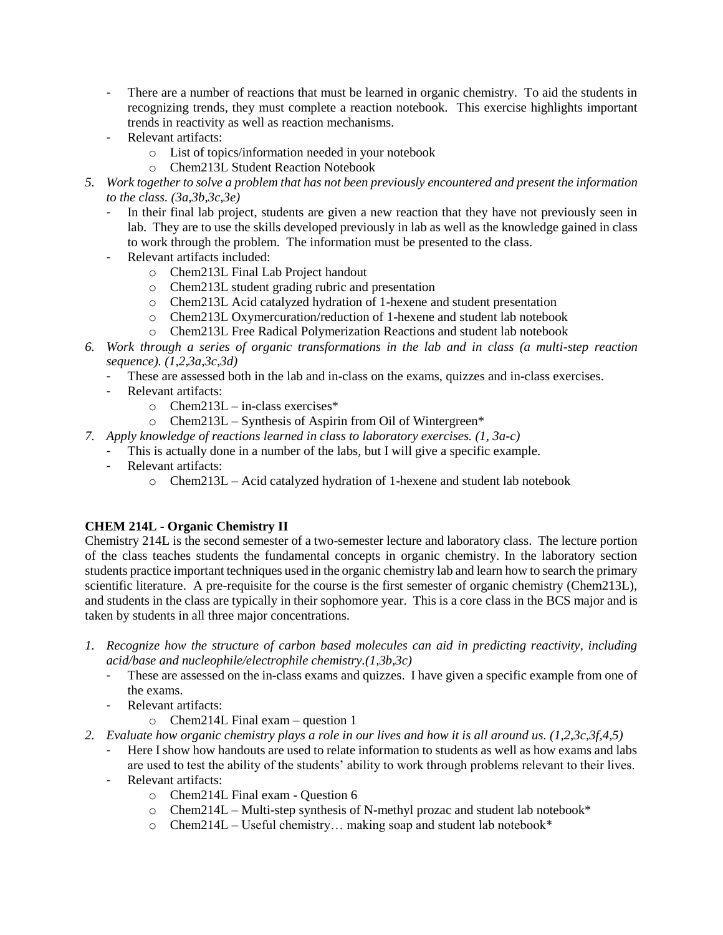- There are a number of reactions that must be learned in organic chemistry. To aid the students in recognizing trends, they must complete a reaction notebook. This exercise highlights important trends in reactivity as well as reaction mechanisms.
- Relevant artifacts:
	- o List of topics/information needed in your notebook
	- o Chem213L Student Reaction Notebook
- *5. Work together to solve a problem that has not been previously encountered and present the information to the class. (3a,3b,3c,3e)*
	- In their final lab project, students are given a new reaction that they have not previously seen in lab. They are to use the skills developed previously in lab as well as the knowledge gained in class to work through the problem. The information must be presented to the class.
	- Relevant artifacts included:
		- o Chem213L Final Lab Project handout
		- o Chem213L student grading rubric and presentation
		- o Chem213L Acid catalyzed hydration of 1-hexene and student presentation
		- o Chem213L Oxymercuration/reduction of 1-hexene and student lab notebook
		- o Chem213L Free Radical Polymerization Reactions and student lab notebook
- *6. Work through a series of organic transformations in the lab and in class (a multi-step reaction sequence). (1,2,3a,3c,3d)*
	- These are assessed both in the lab and in-class on the exams, quizzes and in-class exercises.
	- Relevant artifacts:
		- $\circ$  Chem213L in-class exercises\*
		- o Chem213L Synthesis of Aspirin from Oil of Wintergreen\*
- *7. Apply knowledge of reactions learned in class to laboratory exercises. (1, 3a-c)*
	- This is actually done in a number of the labs, but I will give a specific example.
	- Relevant artifacts:
		- o Chem213L Acid catalyzed hydration of 1-hexene and student lab notebook

# **CHEM 214L - Organic Chemistry II**

Chemistry 214L is the second semester of a two-semester lecture and laboratory class. The lecture portion of the class teaches students the fundamental concepts in organic chemistry. In the laboratory section students practice important techniques used in the organic chemistry lab and learn how to search the primary scientific literature. A pre-requisite for the course is the first semester of organic chemistry (Chem213L), and students in the class are typically in their sophomore year. This is a core class in the BCS major and is taken by students in all three major concentrations.

- *1. Recognize how the structure of carbon based molecules can aid in predicting reactivity, including acid/base and nucleophile/electrophile chemistry.(1,3b,3c)*
	- These are assessed on the in-class exams and quizzes. I have given a specific example from one of the exams.
	- Relevant artifacts:
		- o Chem214L Final exam question 1
- *2. Evaluate how organic chemistry plays a role in our lives and how it is all around us. (1,2,3c,3f,4,5)*
	- Here I show how handouts are used to relate information to students as well as how exams and labs are used to test the ability of the students' ability to work through problems relevant to their lives. - Relevant artifacts:
		- o Chem214L Final exam Question 6
			- o Chem214L Multi-step synthesis of N-methyl prozac and student lab notebook\*
			- o Chem214L Useful chemistry… making soap and student lab notebook\*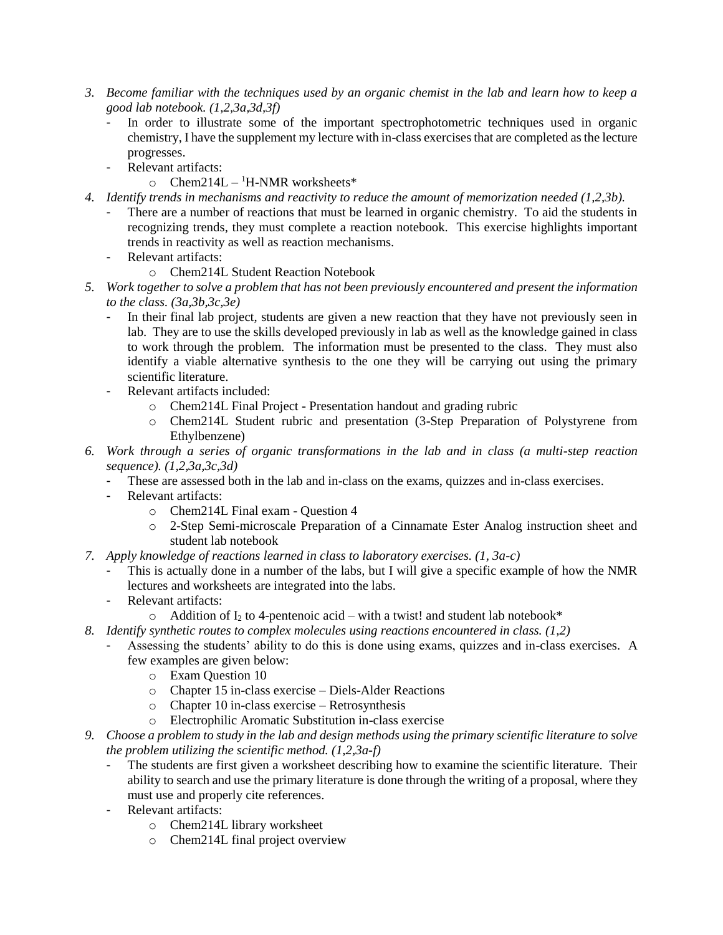- *3. Become familiar with the techniques used by an organic chemist in the lab and learn how to keep a good lab notebook. (1,2,3a,3d,3f)*
	- In order to illustrate some of the important spectrophotometric techniques used in organic chemistry, I have the supplement my lecture with in-class exercises that are completed as the lecture progresses.
	- Relevant artifacts:
		- $\circ$  Chem214L <sup>1</sup>H-NMR worksheets\*
- *4. Identify trends in mechanisms and reactivity to reduce the amount of memorization needed (1,2,3b).*
	- There are a number of reactions that must be learned in organic chemistry. To aid the students in recognizing trends, they must complete a reaction notebook. This exercise highlights important trends in reactivity as well as reaction mechanisms.
	- Relevant artifacts:
		- o Chem214L Student Reaction Notebook
- *5. Work together to solve a problem that has not been previously encountered and present the information to the class. (3a,3b,3c,3e)*
	- In their final lab project, students are given a new reaction that they have not previously seen in lab. They are to use the skills developed previously in lab as well as the knowledge gained in class to work through the problem. The information must be presented to the class. They must also identify a viable alternative synthesis to the one they will be carrying out using the primary scientific literature.
	- Relevant artifacts included:
		- o Chem214L Final Project Presentation handout and grading rubric
		- o Chem214L Student rubric and presentation (3-Step Preparation of Polystyrene from Ethylbenzene)
- *6. Work through a series of organic transformations in the lab and in class (a multi-step reaction sequence). (1,2,3a,3c,3d)*
	- These are assessed both in the lab and in-class on the exams, quizzes and in-class exercises.
	- Relevant artifacts:
		- o Chem214L Final exam Question 4
		- o 2-Step Semi-microscale Preparation of a Cinnamate Ester Analog instruction sheet and student lab notebook
- *7. Apply knowledge of reactions learned in class to laboratory exercises. (1, 3a-c)*
	- This is actually done in a number of the labs, but I will give a specific example of how the NMR lectures and worksheets are integrated into the labs.
	- Relevant artifacts:
		- $\circ$  Addition of I<sub>2</sub> to 4-pentenoic acid with a twist! and student lab notebook\*
- *8. Identify synthetic routes to complex molecules using reactions encountered in class. (1,2)*
	- Assessing the students' ability to do this is done using exams, quizzes and in-class exercises. A few examples are given below:
		- o Exam Question 10
		- o Chapter 15 in-class exercise Diels-Alder Reactions
		- o Chapter 10 in-class exercise Retrosynthesis
		- o Electrophilic Aromatic Substitution in-class exercise
- *9. Choose a problem to study in the lab and design methods using the primary scientific literature to solve the problem utilizing the scientific method. (1,2,3a-f)*
	- The students are first given a worksheet describing how to examine the scientific literature. Their ability to search and use the primary literature is done through the writing of a proposal, where they must use and properly cite references.
	- Relevant artifacts:
		- o Chem214L library worksheet
		- o Chem214L final project overview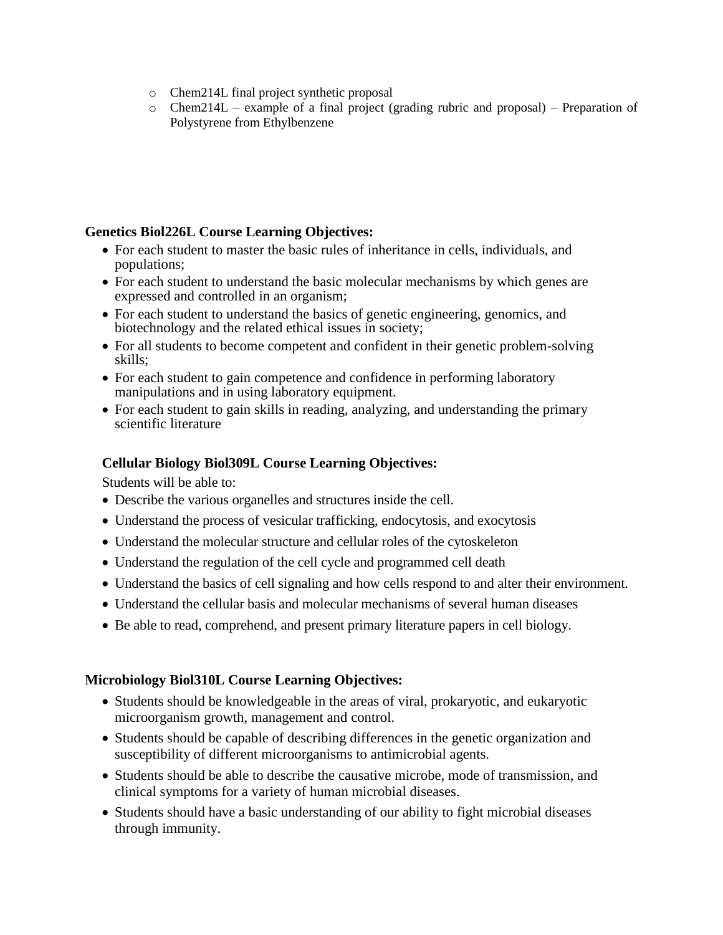- o Chem214L final project synthetic proposal
- $\circ$  Chem214L example of a final project (grading rubric and proposal) Preparation of Polystyrene from Ethylbenzene

## **Genetics Biol226L Course Learning Objectives:**

- For each student to master the basic rules of inheritance in cells, individuals, and populations;
- For each student to understand the basic molecular mechanisms by which genes are expressed and controlled in an organism;
- For each student to understand the basics of genetic engineering, genomics, and biotechnology and the related ethical issues in society;
- For all students to become competent and confident in their genetic problem-solving skills;
- For each student to gain competence and confidence in performing laboratory manipulations and in using laboratory equipment.
- For each student to gain skills in reading, analyzing, and understanding the primary scientific literature

# **Cellular Biology Biol309L Course Learning Objectives:**

Students will be able to:

- Describe the various organelles and structures inside the cell.
- Understand the process of vesicular trafficking, endocytosis, and exocytosis
- Understand the molecular structure and cellular roles of the cytoskeleton
- Understand the regulation of the cell cycle and programmed cell death
- Understand the basics of cell signaling and how cells respond to and alter their environment.
- Understand the cellular basis and molecular mechanisms of several human diseases
- Be able to read, comprehend, and present primary literature papers in cell biology.

## **Microbiology Biol310L Course Learning Objectives:**

- Students should be knowledgeable in the areas of viral, prokaryotic, and eukaryotic microorganism growth, management and control.
- Students should be capable of describing differences in the genetic organization and susceptibility of different microorganisms to antimicrobial agents.
- Students should be able to describe the causative microbe, mode of transmission, and clinical symptoms for a variety of human microbial diseases.
- Students should have a basic understanding of our ability to fight microbial diseases through immunity.